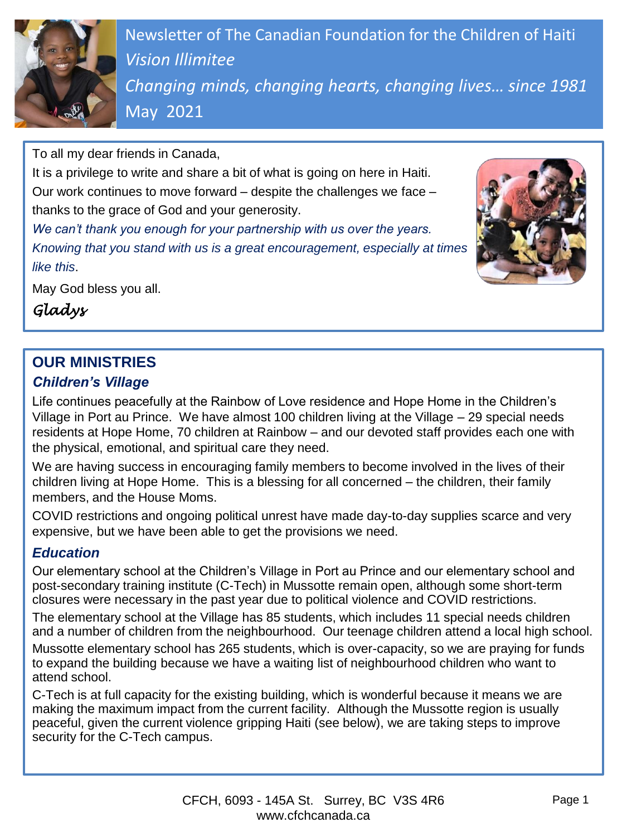

Newsletter of The Canadian Foundation for the Children of Haiti *Vision Illimitee Changing minds, changing hearts, changing lives… since 1981* May 2021

To all my dear friends in Canada,

It is a privilege to write and share a bit of what is going on here in Haiti. Our work continues to move forward – despite the challenges we face – thanks to the grace of God and your generosity.

*We can't thank you enough for your partnership with us over the years. Knowing that you stand with us is a great encouragement, especially at times like this*.

May God bless you all.

*Gladys*

# **OUR MINISTRIES**

### *Children's Village*

Life continues peacefully at the Rainbow of Love residence and Hope Home in the Children's Village in Port au Prince. We have almost 100 children living at the Village – 29 special needs residents at Hope Home, 70 children at Rainbow – and our devoted staff provides each one with the physical, emotional, and spiritual care they need.

We are having success in encouraging family members to become involved in the lives of their children living at Hope Home. This is a blessing for all concerned – the children, their family members, and the House Moms.

COVID restrictions and ongoing political unrest have made day-to-day supplies scarce and very expensive, but we have been able to get the provisions we need.

### *Education*

Our elementary school at the Children's Village in Port au Prince and our elementary school and post-secondary training institute (C-Tech) in Mussotte remain open, although some short-term closures were necessary in the past year due to political violence and COVID restrictions.

The elementary school at the Village has 85 students, which includes 11 special needs children and a number of children from the neighbourhood. Our teenage children attend a local high school.

Mussotte elementary school has 265 students, which is over-capacity, so we are praying for funds to expand the building because we have a waiting list of neighbourhood children who want to attend school.

C-Tech is at full capacity for the existing building, which is wonderful because it means we are making the maximum impact from the current facility. Although the Mussotte region is usually peaceful, given the current violence gripping Haiti (see below), we are taking steps to improve security for the C-Tech campus.